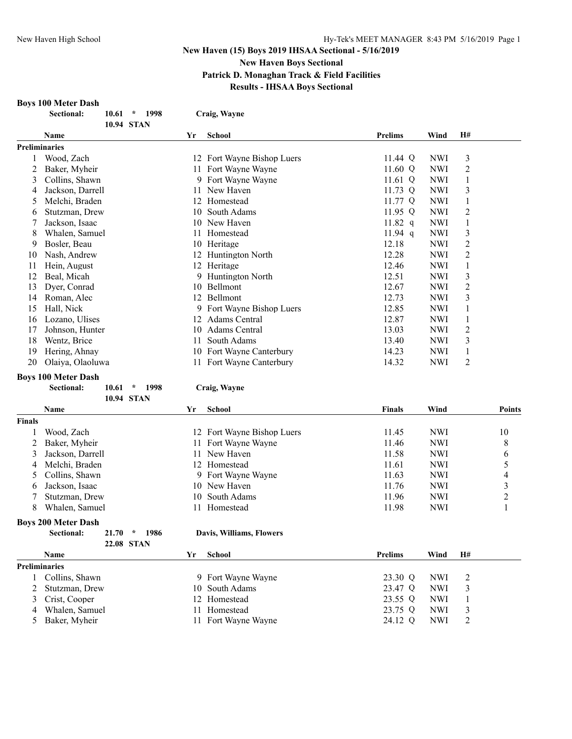# **New Haven (15) Boys 2019 IHSAA Sectional - 5/16/2019 New Haven Boys Sectional Patrick D. Monaghan Track & Field Facilities**

# **Results - IHSAA Boys Sectional**

#### **Boys 100 Meter Dash**

|    | DUV9 TUV INICICI <i>Da</i> bii |                          |    |                         |                |            |                |
|----|--------------------------------|--------------------------|----|-------------------------|----------------|------------|----------------|
|    | <b>Sectional:</b>              | 1998<br>10.61<br>$\star$ |    | Craig, Wayne            |                |            |                |
|    |                                | 10.94 STAN               |    |                         |                |            |                |
|    | <b>Name</b>                    |                          | Yr | <b>School</b>           | <b>Prelims</b> | Wind       | <b>H#</b>      |
|    | <b>Preliminaries</b>           |                          |    |                         |                |            |                |
|    | Wood, Zach                     |                          | 12 | Fort Wayne Bishop Luers | 11.44 Q        | <b>NWI</b> | 3              |
|    | Baker, Myheir                  |                          | 11 | Fort Wayne Wayne        | 11.60 $Q$      | <b>NWI</b> | 2              |
| 3  | Collins, Shawn                 |                          | 9. | Fort Wayne Wayne        | 11.61 $Q$      | <b>NWI</b> | 1              |
| 4  | Jackson, Darrell               |                          | 11 | New Haven               | 11.73 $Q$      | <b>NWI</b> | $\overline{3}$ |
| 5  | Melchi, Braden                 |                          | 12 | Homestead               | 11.77 Q        | <b>NWI</b> | 1              |
| 6  | Stutzman, Drew                 |                          | 10 | South Adams             | 11.95 $Q$      | <b>NWI</b> | $\overline{2}$ |
|    | Jackson, Isaac                 |                          | 10 | New Haven               | $11.82$ q      | <b>NWI</b> | 1              |
| 8  | Whalen, Samuel                 |                          | 11 | Homestead               | $11.94$ q      | <b>NWI</b> | 3              |
| 9  | Bosler, Beau                   |                          | 10 | Heritage                | 12.18          | <b>NWI</b> | 2              |
| 10 | Nash, Andrew                   |                          | 12 | Huntington North        | 12.28          | <b>NWI</b> | 2              |
| 11 | Hein, August                   |                          | 12 | Heritage                | 12.46          | <b>NWI</b> | 1              |
| 12 | Beal, Micah                    |                          | 9  | Huntington North        | 12.51          | <b>NWI</b> | $\overline{3}$ |
| 13 | Dyer, Conrad                   |                          | 10 | Bellmont                | 12.67          | NWI        | 2              |
| 14 | Roman, Alec                    |                          | 12 | Bellmont                | 12.73          | <b>NWI</b> | $\overline{3}$ |
| 15 | Hall, Nick                     |                          | 9. | Fort Wayne Bishop Luers | 12.85          | <b>NWI</b> | 1              |
| 16 | Lozano, Ulises                 |                          | 12 | <b>Adams Central</b>    | 12.87          | <b>NWI</b> | 1              |
| 17 | Johnson, Hunter                |                          | 10 | <b>Adams Central</b>    | 13.03          | <b>NWI</b> | $\overline{2}$ |
| 18 | Wentz, Brice                   |                          | 11 | South Adams             | 13.40          | <b>NWI</b> | $\overline{3}$ |
| 19 | Hering, Ahnay                  |                          | 10 | Fort Wayne Canterbury   | 14.23          | <b>NWI</b> | 1              |
| 20 | Olaiya, Olaoluwa               |                          | 11 | Fort Wayne Canterbury   | 14.32          | <b>NWI</b> | $\overline{2}$ |

### **Boys 100 Meter Dash**

| <b>Sectional:</b> | 10.61 | 1998 | Craig, Wayne |
|-------------------|-------|------|--------------|
|                   |       |      |              |

| School<br>Name<br><b>Finals</b><br>Wind<br>Yr<br><b>Finals</b><br>12 Fort Wayne Bishop Luers<br>11.45<br><b>NWI</b><br>Wood, Zach<br>11.46<br><b>NWI</b><br>Baker, Myheir<br>Fort Wayne Wayne<br>11<br>11.58<br><b>NWI</b><br>Jackson, Darrell<br>New Haven<br>3<br>11<br>Melchi, Braden<br><b>NWI</b><br>Homestead<br>11.61<br>12<br>4 |               |
|-----------------------------------------------------------------------------------------------------------------------------------------------------------------------------------------------------------------------------------------------------------------------------------------------------------------------------------------|---------------|
|                                                                                                                                                                                                                                                                                                                                         | <b>Points</b> |
|                                                                                                                                                                                                                                                                                                                                         |               |
|                                                                                                                                                                                                                                                                                                                                         | 10            |
|                                                                                                                                                                                                                                                                                                                                         | 8             |
|                                                                                                                                                                                                                                                                                                                                         | 6             |
|                                                                                                                                                                                                                                                                                                                                         | 5             |
| 11.63<br><b>NWI</b><br>Collins, Shawn<br>Fort Wayne Wayne<br>9.<br>5.                                                                                                                                                                                                                                                                   | 4             |
| 11.76<br><b>NWI</b><br>10 New Haven<br>Jackson, Isaac<br>6                                                                                                                                                                                                                                                                              | 3             |
| 11.96<br>South Adams<br><b>NWI</b><br>Stutzman, Drew<br>10                                                                                                                                                                                                                                                                              | 2             |
| 8<br>11.98<br><b>NWI</b><br>Whalen, Samuel<br>Homestead<br>11                                                                                                                                                                                                                                                                           |               |
| <b>Boys 200 Meter Dash</b>                                                                                                                                                                                                                                                                                                              |               |
| Sectional:<br>21.70<br>1986<br>Davis, Williams, Flowers<br>$\star$                                                                                                                                                                                                                                                                      |               |
| 22.08 STAN                                                                                                                                                                                                                                                                                                                              |               |
| <b>School</b><br>H#<br><b>Prelims</b><br>Wind<br>Name<br>Yr                                                                                                                                                                                                                                                                             |               |
| <b>Preliminaries</b>                                                                                                                                                                                                                                                                                                                    |               |
| 23.30 Q<br><b>NWI</b><br>2<br>9 Fort Wayne Wayne<br>Collins, Shawn                                                                                                                                                                                                                                                                      |               |
| 3<br>South Adams<br>23.47 Q<br><b>NWI</b><br>Stutzman, Drew<br>10                                                                                                                                                                                                                                                                       |               |
| 23.55 Q<br><b>NWI</b><br>Crist, Cooper<br>3<br>Homestead<br>1<br>12                                                                                                                                                                                                                                                                     |               |
| 23.75 Q<br><b>NWI</b><br>3<br>Whalen, Samuel<br>Homestead<br>4                                                                                                                                                                                                                                                                          |               |
| 24.12 Q<br>2<br>Baker, Myheir<br><b>NWI</b><br>5<br>Fort Wayne Wayne<br>11                                                                                                                                                                                                                                                              |               |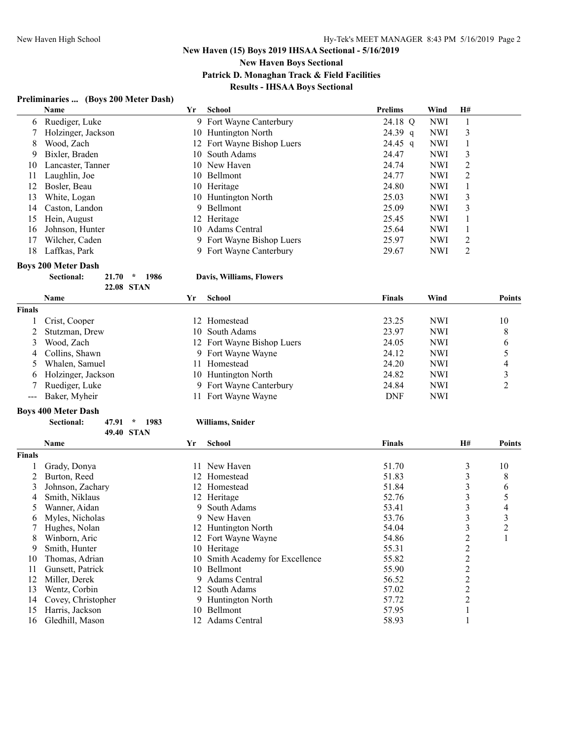**New Haven Boys Sectional**

**Patrick D. Monaghan Track & Field Facilities**

# **Results - IHSAA Boys Sectional**

# **Preliminaries ... (Boys 200 Meter Dash)**

|    | Name                                         | Yr  | School                     | <b>Prelims</b> | Wind       | <b>H#</b> |
|----|----------------------------------------------|-----|----------------------------|----------------|------------|-----------|
| 6  | Ruediger, Luke                               |     | 9 Fort Wayne Canterbury    | 24.18 Q        | <b>NWI</b> |           |
|    | Holzinger, Jackson                           |     | 10 Huntington North        | $24.39$ q      | <b>NWI</b> | 3         |
| 8  | Wood, Zach                                   |     | 12 Fort Wayne Bishop Luers | $24.45$ q      | <b>NWI</b> |           |
| 9  | Bixler, Braden                               | 10  | South Adams                | 24.47          | <b>NWI</b> | 3         |
| 10 | Lancaster, Tanner                            |     | 10 New Haven               | 24.74          | <b>NWI</b> | 2         |
| 11 | Laughlin, Joe                                | 10  | <b>Bellmont</b>            | 24.77          | <b>NWI</b> | 2         |
| 12 | Bosler, Beau                                 | 10  | Heritage                   | 24.80          | <b>NWI</b> |           |
| 13 | White, Logan                                 |     | 10 Huntington North        | 25.03          | <b>NWI</b> | 3         |
| 14 | Caston, Landon                               |     | 9 Bellmont                 | 25.09          | <b>NWI</b> | 3         |
| 15 | Hein, August                                 |     | 12 Heritage                | 25.45          | <b>NWI</b> |           |
| 16 | Johnson, Hunter                              | 10- | Adams Central              | 25.64          | <b>NWI</b> |           |
| 17 | Wilcher, Caden                               |     | 9 Fort Wayne Bishop Luers  | 25.97          | <b>NWI</b> | 2         |
| 18 | Laffkas, Park                                |     | 9 Fort Wayne Canterbury    | 29.67          | <b>NWI</b> | 2         |
|    | <b>Boys 200 Meter Dash</b>                   |     |                            |                |            |           |
|    | <b>Sectional:</b><br>21.70<br>1986<br>$\ast$ |     | Davis, Williams, Flowers   |                |            |           |

**22.08 STAN**

|               | Name               | Yr | <b>School</b>              | Finals     | Wind       | <b>Points</b>  |
|---------------|--------------------|----|----------------------------|------------|------------|----------------|
| <b>Finals</b> |                    |    |                            |            |            |                |
|               | Crist, Cooper      |    | 12 Homestead               | 23.25      | <b>NWI</b> | 10             |
|               | 2 Stutzman, Drew   |    | 10 South Adams             | 23.97      | <b>NWI</b> | 8              |
| $\mathcal{E}$ | Wood, Zach         |    | 12 Fort Wayne Bishop Luers | 24.05      | <b>NWI</b> | 6              |
|               | 4 Collins, Shawn   |    | 9 Fort Wayne Wayne         | 24.12      | <b>NWI</b> |                |
|               | Whalen, Samuel     |    | Homestead                  | 24.20      | <b>NWI</b> | $\overline{4}$ |
| 6.            | Holzinger, Jackson |    | 10 Huntington North        | 24.82      | <b>NWI</b> |                |
|               | Ruediger, Luke     |    | 9 Fort Wayne Canterbury    | 24.84      | <b>NWI</b> |                |
|               | --- Baker, Myheir  |    | Fort Wayne Wayne           | <b>DNF</b> | <b>NWI</b> |                |

|               | <b>Boys 400 Meter Dash</b>                   |                                     |               |                |               |
|---------------|----------------------------------------------|-------------------------------------|---------------|----------------|---------------|
|               | <b>Sectional:</b><br>1983<br>47.91<br>$\ast$ | Williams, Snider                    |               |                |               |
|               | <b>49.40 STAN</b>                            |                                     |               |                |               |
|               | Name                                         | <b>School</b><br>Yr                 | <b>Finals</b> | <b>H#</b>      | <b>Points</b> |
| <b>Finals</b> |                                              |                                     |               |                |               |
|               | Grady, Donya                                 | New Haven<br>11                     | 51.70         | 3              | 10            |
|               | Burton, Reed                                 | Homestead<br>12                     | 51.83         | 3              | 8             |
| 3             | Johnson, Zachary                             | Homestead<br>12.                    | 51.84         | 3              | 6             |
| 4             | Smith, Niklaus                               | 12 Heritage                         | 52.76         | 3              | 5             |
| 5             | Wanner, Aidan                                | South Adams<br>9                    | 53.41         | 3              | 4             |
| 6             | Myles, Nicholas                              | New Haven<br>9                      | 53.76         | 3              | 3             |
|               | Hughes, Nolan                                | 12 Huntington North                 | 54.04         | 3              | 2             |
| 8             | Winborn, Aric                                | 12 Fort Wayne Wayne                 | 54.86         | 2              |               |
| 9             | Smith, Hunter                                | 10 Heritage                         | 55.31         | 2              |               |
| 10            | Thomas, Adrian                               | Smith Academy for Excellence<br>10. | 55.82         | 2              |               |
| 11            | Gunsett, Patrick                             | <b>Bellmont</b><br>10.              | 55.90         | 2              |               |
| 12            | Miller, Derek                                | Adams Central<br>9                  | 56.52         | 2              |               |
| 13            | Wentz, Corbin                                | 12 South Adams                      | 57.02         | $\overline{2}$ |               |
| 14            | Covey, Christopher                           | <b>Huntington North</b><br>9        | 57.72         | 2              |               |
| 15            | Harris, Jackson                              | Bellmont<br>10.                     | 57.95         |                |               |

16 Gledhill, Mason 12 Adams Central 58.93 1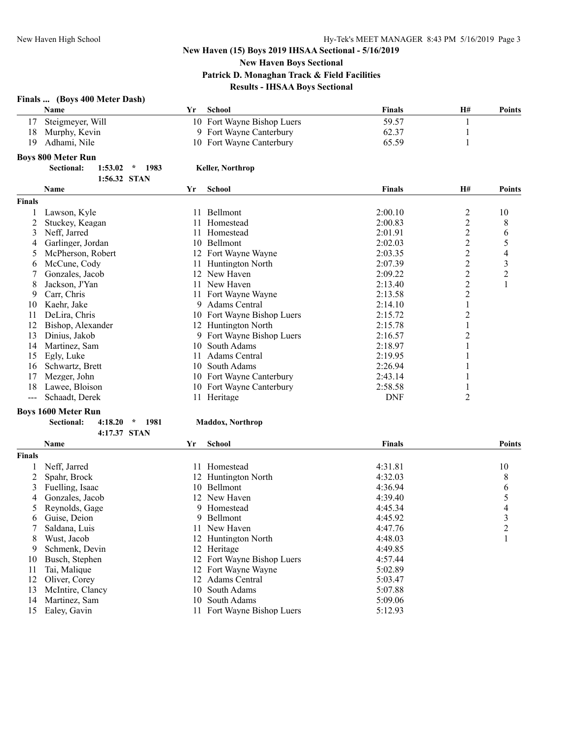**New Haven Boys Sectional**

**Patrick D. Monaghan Track & Field Facilities**

### **Results - IHSAA Boys Sectional**

|               | Finals  (Boys 400 Meter Dash)<br>Name             | Yr | <b>School</b>              | Finals        | H#             | <b>Points</b>           |
|---------------|---------------------------------------------------|----|----------------------------|---------------|----------------|-------------------------|
| 17            | Steigmeyer, Will                                  |    | 10 Fort Wayne Bishop Luers | 59.57         | 1              |                         |
| 18            | Murphy, Kevin                                     |    | 9 Fort Wayne Canterbury    | 62.37         | 1              |                         |
| 19            | Adhami, Nile                                      |    | 10 Fort Wayne Canterbury   | 65.59         | 1              |                         |
|               | <b>Boys 800 Meter Run</b>                         |    |                            |               |                |                         |
|               | Sectional:<br>1983<br>$1:53.02$ *<br>1:56.32 STAN |    | <b>Keller, Northrop</b>    |               |                |                         |
|               | Name                                              | Yr | <b>School</b>              | <b>Finals</b> | <b>H#</b>      | <b>Points</b>           |
| <b>Finals</b> |                                                   |    |                            |               |                |                         |
| 1             | Lawson, Kyle                                      |    | 11 Bellmont                | 2:00.10       | $\overline{c}$ | 10                      |
| 2             | Stuckey, Keagan                                   | 11 | Homestead                  | 2:00.83       | $\overline{2}$ | 8                       |
| 3             | Neff, Jarred                                      |    | 11 Homestead               | 2:01.91       | $\overline{2}$ | 6                       |
| 4             | Garlinger, Jordan                                 | 10 | Bellmont                   | 2:02.03       | $\overline{2}$ | 5                       |
| 5             | McPherson, Robert                                 |    | 12 Fort Wayne Wayne        | 2:03.35       | $\overline{c}$ | 4                       |
| 6             | McCune, Cody                                      |    | 11 Huntington North        | 2:07.39       | $\overline{c}$ | $\mathfrak{Z}$          |
| 7             | Gonzales, Jacob                                   |    | 12 New Haven               | 2:09.22       | $\overline{c}$ | $\overline{2}$          |
| 8             | Jackson, J'Yan                                    | 11 | New Haven                  | 2:13.40       | $\overline{c}$ | 1                       |
| 9             | Carr, Chris                                       | 11 | Fort Wayne Wayne           | 2:13.58       | $\overline{c}$ |                         |
| 10            | Kaehr, Jake                                       | 9  | <b>Adams Central</b>       | 2:14.10       | 1              |                         |
| 11            | DeLira, Chris                                     |    | 10 Fort Wayne Bishop Luers | 2:15.72       | $\overline{c}$ |                         |
| 12            | Bishop, Alexander                                 |    | 12 Huntington North        | 2:15.78       | 1              |                         |
| 13            | Dinius, Jakob                                     |    | 9 Fort Wayne Bishop Luers  | 2:16.57       | 2              |                         |
| 14            | Martinez, Sam                                     | 10 | South Adams                | 2:18.97       | 1              |                         |
| 15            | Egly, Luke                                        | 11 | Adams Central              | 2:19.95       | 1              |                         |
| 16            | Schwartz, Brett                                   |    | 10 South Adams             | 2:26.94       |                |                         |
| 17            | Mezger, John                                      |    | 10 Fort Wayne Canterbury   | 2:43.14       | 1              |                         |
| 18            | Lawee, Bloison                                    |    | 10 Fort Wayne Canterbury   | 2:58.58       | 1              |                         |
| $---$         | Schaadt, Derek                                    |    | 11 Heritage                | <b>DNF</b>    | $\overline{2}$ |                         |
|               | <b>Boys 1600 Meter Run</b>                        |    |                            |               |                |                         |
|               | Sectional:<br>4:18.20<br>1981<br>$\star$          |    | <b>Maddox, Northrop</b>    |               |                |                         |
|               | 4:17.37 STAN                                      |    |                            |               |                |                         |
|               | <b>Name</b>                                       | Yr | <b>School</b>              | <b>Finals</b> |                | <b>Points</b>           |
| Finals        |                                                   |    |                            |               |                |                         |
| 1             | Neff, Jarred                                      | 11 | Homestead                  | 4:31.81       |                | 10                      |
| 2             | Spahr, Brock                                      |    | 12 Huntington North        | 4:32.03       |                | 8                       |
| 3             | Fuelling, Isaac                                   |    | 10 Bellmont                | 4:36.94       |                | 6                       |
| 4             | Gonzales, Jacob                                   |    | 12 New Haven               | 4:39.40       |                | 5                       |
| 5             | Reynolds, Gage                                    | 9  | Homestead                  | 4:45.34       |                | 4                       |
| 6             | Guise, Deion                                      | 9  | Bellmont                   | 4:45.92       |                | $\overline{\mathbf{3}}$ |
| 7             | Saldana, Luis                                     | 11 | New Haven                  | 4:47.76       |                | $\overline{c}$          |
| 8             | Wust, Jacob                                       |    | 12 Huntington North        | 4:48.03       |                | 1                       |
| 9             | Schmenk, Devin                                    |    | 12 Heritage                | 4:49.85       |                |                         |
| 10            | Busch, Stephen                                    |    | 12 Fort Wayne Bishop Luers | 4:57.44       |                |                         |
| 11            | Tai, Malique                                      |    | 12 Fort Wayne Wayne        | 5:02.89       |                |                         |

12 Oliver, Corey 12 Adams Central 5:03.47<br>13 McIntire, Clancy 10 South Adams 5:07.88

- 13 McIntire, Clancy 10 South Adams 5:07.88<br>14 Martinez, Sam 10 South Adams 5:09.06 14 Martinez, Sam
- Ealey, Gavin 11 Fort Wayne Bishop Luers 5:12.93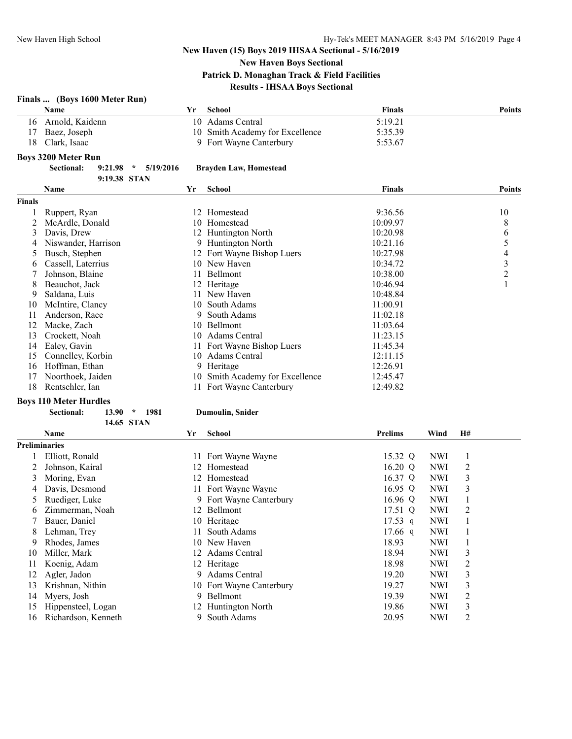# **New Haven Boys Sectional**

**Patrick D. Monaghan Track & Field Facilities**

# **Results - IHSAA Boys Sectional**

|                | Finals  (Boys 1600 Meter Run)          |    |                                 |                |            |                         |                          |
|----------------|----------------------------------------|----|---------------------------------|----------------|------------|-------------------------|--------------------------|
|                | Name                                   | Yr | <b>School</b>                   | Finals         |            |                         | <b>Points</b>            |
| 16             | Arnold, Kaidenn                        |    | 10 Adams Central                | 5:19.21        |            |                         |                          |
| 17             | Baez, Joseph                           |    | 10 Smith Academy for Excellence | 5:35.39        |            |                         |                          |
| 18             | Clark, Isaac                           |    | 9 Fort Wayne Canterbury         | 5:53.67        |            |                         |                          |
|                | <b>Boys 3200 Meter Run</b>             |    |                                 |                |            |                         |                          |
|                | Sectional:<br>$9:21.98$ *<br>5/19/2016 |    | <b>Brayden Law, Homestead</b>   |                |            |                         |                          |
|                | 9:19.38 STAN                           |    |                                 |                |            |                         |                          |
|                | <b>Name</b>                            | Yr | <b>School</b>                   | <b>Finals</b>  |            |                         | <b>Points</b>            |
| <b>Finals</b>  |                                        |    |                                 |                |            |                         |                          |
| 1              | Ruppert, Ryan                          |    | 12 Homestead                    | 9:36.56        |            |                         | 10                       |
| $\overline{c}$ | McArdle, Donald                        | 10 | Homestead                       | 10:09.97       |            |                         | 8                        |
| 3              | Davis, Drew                            |    | 12 Huntington North             | 10:20.98       |            |                         | 6                        |
| 4              | Niswander, Harrison                    |    | 9 Huntington North              | 10:21.16       |            |                         | 5                        |
| 5              | Busch, Stephen                         |    | 12 Fort Wayne Bishop Luers      | 10:27.98       |            |                         | $\overline{\mathcal{A}}$ |
| 6              | Cassell, Laterrius                     |    | 10 New Haven                    | 10:34.72       |            |                         | $\overline{\mathbf{3}}$  |
| 7              | Johnson, Blaine                        | 11 | Bellmont                        | 10:38.00       |            |                         | $\overline{c}$           |
| 8              | Beauchot, Jack                         |    | 12 Heritage                     | 10:46.94       |            |                         | $\mathbf{1}$             |
| 9              | Saldana, Luis                          |    | 11 New Haven                    | 10:48.84       |            |                         |                          |
| 10             | McIntire, Clancy                       | 10 | South Adams                     | 11:00.91       |            |                         |                          |
| 11             | Anderson, Race                         | 9  | South Adams                     | 11:02.18       |            |                         |                          |
| 12             | Macke, Zach                            |    | 10 Bellmont                     | 11:03.64       |            |                         |                          |
| 13             | Crockett, Noah                         | 10 | <b>Adams Central</b>            | 11:23.15       |            |                         |                          |
| 14             | Ealey, Gavin                           |    | 11 Fort Wayne Bishop Luers      | 11:45.34       |            |                         |                          |
| 15             | Connelley, Korbin                      |    | 10 Adams Central                | 12:11.15       |            |                         |                          |
| 16             | Hoffman, Ethan                         | 9  | Heritage                        | 12:26.91       |            |                         |                          |
| 17             | Noorthoek, Jaiden                      |    | 10 Smith Academy for Excellence | 12:45.47       |            |                         |                          |
| 18             | Rentschler, Ian                        |    | 11 Fort Wayne Canterbury        | 12:49.82       |            |                         |                          |
|                | <b>Boys 110 Meter Hurdles</b>          |    |                                 |                |            |                         |                          |
|                | Sectional:<br>13.90<br>$\star$<br>1981 |    | <b>Dumoulin, Snider</b>         |                |            |                         |                          |
|                | 14.65 STAN                             |    |                                 |                |            |                         |                          |
|                | Name                                   | Yr | <b>School</b>                   | <b>Prelims</b> | Wind       | H#                      |                          |
|                | <b>Preliminaries</b>                   |    |                                 |                |            |                         |                          |
| 1              | Elliott, Ronald                        |    | 11 Fort Wayne Wayne             | 15.32 Q        | <b>NWI</b> | 1                       |                          |
| 2              | Johnson, Kairal                        | 12 | Homestead                       | 16.20 Q        | <b>NWI</b> | $\overline{2}$          |                          |
| 3              | Moring, Evan                           |    | 12 Homestead                    | 16.37 Q        | <b>NWI</b> | 3                       |                          |
| 4              | Davis, Desmond                         |    | 11 Fort Wayne Wayne             | 16.95 Q        | <b>NWI</b> | 3                       |                          |
| 5              | Ruediger, Luke                         |    | 9 Fort Wayne Canterbury         | 16.96 $Q$      | <b>NWI</b> | $\mathbf{1}$            |                          |
| 6              | Zimmerman, Noah                        |    | 12 Bellmont                     | 17.51 Q        | <b>NWI</b> | $\overline{c}$          |                          |
| 7              | Bauer, Daniel                          | 10 | Heritage                        | $17.53$ q      | <b>NWI</b> | 1                       |                          |
| 8              | Lehman, Trey                           | 11 | South Adams                     | $17.66$ q      | <b>NWI</b> | $\mathbf{1}$            |                          |
| 9              |                                        |    | 10 New Haven                    | 18.93          |            |                         |                          |
|                | Rhodes, James                          |    |                                 |                | <b>NWI</b> | 1                       |                          |
| 10             | Miller, Mark                           | 12 | Adams Central                   | 18.94          | <b>NWI</b> | $\overline{\mathbf{3}}$ |                          |
| 11             | Koenig, Adam                           |    | 12 Heritage                     | 18.98          | <b>NWI</b> | $\overline{c}$          |                          |

12 Agler, Jadon 9 Adams Central 19.20 NWI 3<br>13 Krishnan, Nithin 10 Fort Wayne Canterbury 19.27 NWI 3

15 Hippensteel, Logan 12 Huntington North 19.86 NWI 3<br>16 Richardson, Kenneth 9 South Adams 20.95 NWI 2 Richardson, Kenneth 9 South Adams 20.95 NWI 2

14 Myers, Josh 9 Bellmont 19.39 NWI

10 Fort Wayne Canterbury 19.27 NWI 3<br>
9 Bellmont 19.39 NWI 2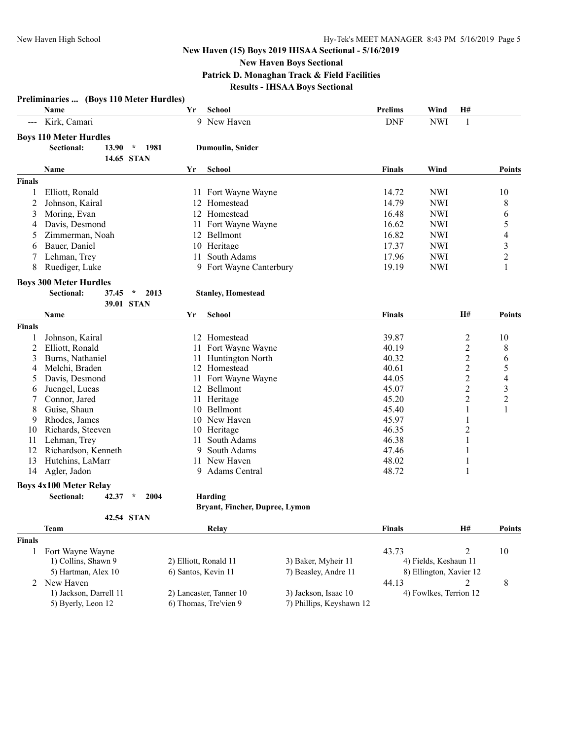**New Haven Boys Sectional**

**Patrick D. Monaghan Track & Field Facilities**

**Results - IHSAA Boys Sectional**

| H#<br>School<br><b>Prelims</b><br>Wind<br>Name<br>Yr<br>9 New Haven<br><b>DNF</b><br><b>NWI</b><br>Kirk, Camari<br>1<br>$\qquad \qquad - -$<br><b>Boys 110 Meter Hurdles</b><br>Sectional:<br>13.90<br>$\mathcal{N}$<br>1981<br><b>Dumoulin, Snider</b><br>14.65 STAN<br>Name<br><b>School</b><br>Finals<br>Wind<br><b>Points</b><br>Yr<br><b>Finals</b><br>14.72<br><b>NWI</b><br>Elliott, Ronald<br>11 Fort Wayne Wayne<br>10<br>1<br>14.79<br><b>NWI</b><br>8<br>2<br>Johnson, Kairal<br>12 Homestead<br>Moring, Evan<br>12 Homestead<br>16.48<br><b>NWI</b><br>6<br>3<br>5<br>Davis, Desmond<br>Fort Wayne Wayne<br>16.62<br><b>NWI</b><br>11<br>4<br>4<br>Zimmerman, Noah<br>12 Bellmont<br>16.82<br><b>NWI</b><br>5<br>3<br>Bauer, Daniel<br>10 Heritage<br>17.37<br><b>NWI</b><br>6<br>$\overline{c}$<br>17.96<br>Lehman, Trey<br>South Adams<br><b>NWI</b><br>11<br>19.19<br><b>NWI</b><br>1<br>8<br>Ruediger, Luke<br>9 Fort Wayne Canterbury<br><b>Boys 300 Meter Hurdles</b><br>Sectional:<br>37.45<br>$\star$<br>2013<br><b>Stanley, Homestead</b><br>39.01 STAN<br>Name<br><b>School</b><br>Finals<br>H#<br><b>Points</b><br>Yr<br><b>Finals</b><br>Johnson, Kairal<br>12 Homestead<br>39.87<br>2<br>10<br>Elliott, Ronald<br>40.19<br>2<br>2<br>Fort Wayne Wayne<br>8<br>11<br>2<br>Burns, Nathaniel<br>40.32<br>6<br>3<br>11 Huntington North<br>$\overline{\mathbf{c}}$<br>5<br>Melchi, Braden<br>12 Homestead<br>40.61<br>4<br>$\overline{\mathcal{L}}$<br>2<br>Davis, Desmond<br>Fort Wayne Wayne<br>44.05<br>11<br>5<br>3<br>$\overline{c}$<br>45.07<br>Juengel, Lucas<br>12 Bellmont<br>6<br>$\overline{c}$<br>11 Heritage<br>45.20<br>2<br>Connor, Jared<br>45.40<br>Guise, Shaun<br>10 Bellmont<br>1<br>8<br>1<br>45.97<br>Rhodes, James<br>10 New Haven<br>1<br>9<br>Richards, Steeven<br>10 Heritage<br>46.35<br>2<br>10<br>46.38<br>Lehman, Trey<br>South Adams<br>1<br>11<br>11<br>12<br>Richardson, Kenneth<br>South Adams<br>47.46<br>$\mathbf{1}$<br>9<br>13<br>11 New Haven<br>Hutchins, LaMarr<br>48.02<br>1<br>48.72<br>Agler, Jadon<br>9 Adams Central<br>1<br>14<br><b>Boys 4x100 Meter Relay</b><br>Sectional:<br>42.37<br>$\star$<br>2004<br>Harding<br>Bryant, Fincher, Dupree, Lymon<br>42.54 STAN<br><b>Team</b><br><b>Finals</b><br>H#<br>Relay<br><b>Points</b><br><b>Finals</b><br>$\overline{2}$<br>Fort Wayne Wayne<br>43.73<br>10<br>1<br>1) Collins, Shawn 9<br>2) Elliott, Ronald 11<br>3) Baker, Myheir 11<br>4) Fields, Keshaun 11<br>5) Hartman, Alex 10<br>6) Santos, Kevin 11<br>7) Beasley, Andre 11<br>8) Ellington, Xavier 12<br>New Haven<br>44.13<br>2<br>8<br>2<br>1) Jackson, Darrell 11<br>2) Lancaster, Tanner 10<br>3) Jackson, Isaac 10<br>4) Fowlkes, Terrion 12<br>5) Byerly, Leon 12<br>6) Thomas, Tre'vien 9<br>7) Phillips, Keyshawn 12 | Preliminaries  (Boys 110 Meter Hurdles) |  |  |  |  |
|-------------------------------------------------------------------------------------------------------------------------------------------------------------------------------------------------------------------------------------------------------------------------------------------------------------------------------------------------------------------------------------------------------------------------------------------------------------------------------------------------------------------------------------------------------------------------------------------------------------------------------------------------------------------------------------------------------------------------------------------------------------------------------------------------------------------------------------------------------------------------------------------------------------------------------------------------------------------------------------------------------------------------------------------------------------------------------------------------------------------------------------------------------------------------------------------------------------------------------------------------------------------------------------------------------------------------------------------------------------------------------------------------------------------------------------------------------------------------------------------------------------------------------------------------------------------------------------------------------------------------------------------------------------------------------------------------------------------------------------------------------------------------------------------------------------------------------------------------------------------------------------------------------------------------------------------------------------------------------------------------------------------------------------------------------------------------------------------------------------------------------------------------------------------------------------------------------------------------------------------------------------------------------------------------------------------------------------------------------------------------------------------------------------------------------------------------------------------------------------------------------------------------------------------------------------------------------------------------------------------------------------------------------------------------------------------------------------------------------------------------------------------------------------------------------------|-----------------------------------------|--|--|--|--|
|                                                                                                                                                                                                                                                                                                                                                                                                                                                                                                                                                                                                                                                                                                                                                                                                                                                                                                                                                                                                                                                                                                                                                                                                                                                                                                                                                                                                                                                                                                                                                                                                                                                                                                                                                                                                                                                                                                                                                                                                                                                                                                                                                                                                                                                                                                                                                                                                                                                                                                                                                                                                                                                                                                                                                                                                             |                                         |  |  |  |  |
|                                                                                                                                                                                                                                                                                                                                                                                                                                                                                                                                                                                                                                                                                                                                                                                                                                                                                                                                                                                                                                                                                                                                                                                                                                                                                                                                                                                                                                                                                                                                                                                                                                                                                                                                                                                                                                                                                                                                                                                                                                                                                                                                                                                                                                                                                                                                                                                                                                                                                                                                                                                                                                                                                                                                                                                                             |                                         |  |  |  |  |
|                                                                                                                                                                                                                                                                                                                                                                                                                                                                                                                                                                                                                                                                                                                                                                                                                                                                                                                                                                                                                                                                                                                                                                                                                                                                                                                                                                                                                                                                                                                                                                                                                                                                                                                                                                                                                                                                                                                                                                                                                                                                                                                                                                                                                                                                                                                                                                                                                                                                                                                                                                                                                                                                                                                                                                                                             |                                         |  |  |  |  |
|                                                                                                                                                                                                                                                                                                                                                                                                                                                                                                                                                                                                                                                                                                                                                                                                                                                                                                                                                                                                                                                                                                                                                                                                                                                                                                                                                                                                                                                                                                                                                                                                                                                                                                                                                                                                                                                                                                                                                                                                                                                                                                                                                                                                                                                                                                                                                                                                                                                                                                                                                                                                                                                                                                                                                                                                             |                                         |  |  |  |  |
|                                                                                                                                                                                                                                                                                                                                                                                                                                                                                                                                                                                                                                                                                                                                                                                                                                                                                                                                                                                                                                                                                                                                                                                                                                                                                                                                                                                                                                                                                                                                                                                                                                                                                                                                                                                                                                                                                                                                                                                                                                                                                                                                                                                                                                                                                                                                                                                                                                                                                                                                                                                                                                                                                                                                                                                                             |                                         |  |  |  |  |
|                                                                                                                                                                                                                                                                                                                                                                                                                                                                                                                                                                                                                                                                                                                                                                                                                                                                                                                                                                                                                                                                                                                                                                                                                                                                                                                                                                                                                                                                                                                                                                                                                                                                                                                                                                                                                                                                                                                                                                                                                                                                                                                                                                                                                                                                                                                                                                                                                                                                                                                                                                                                                                                                                                                                                                                                             |                                         |  |  |  |  |
|                                                                                                                                                                                                                                                                                                                                                                                                                                                                                                                                                                                                                                                                                                                                                                                                                                                                                                                                                                                                                                                                                                                                                                                                                                                                                                                                                                                                                                                                                                                                                                                                                                                                                                                                                                                                                                                                                                                                                                                                                                                                                                                                                                                                                                                                                                                                                                                                                                                                                                                                                                                                                                                                                                                                                                                                             |                                         |  |  |  |  |
|                                                                                                                                                                                                                                                                                                                                                                                                                                                                                                                                                                                                                                                                                                                                                                                                                                                                                                                                                                                                                                                                                                                                                                                                                                                                                                                                                                                                                                                                                                                                                                                                                                                                                                                                                                                                                                                                                                                                                                                                                                                                                                                                                                                                                                                                                                                                                                                                                                                                                                                                                                                                                                                                                                                                                                                                             |                                         |  |  |  |  |
|                                                                                                                                                                                                                                                                                                                                                                                                                                                                                                                                                                                                                                                                                                                                                                                                                                                                                                                                                                                                                                                                                                                                                                                                                                                                                                                                                                                                                                                                                                                                                                                                                                                                                                                                                                                                                                                                                                                                                                                                                                                                                                                                                                                                                                                                                                                                                                                                                                                                                                                                                                                                                                                                                                                                                                                                             |                                         |  |  |  |  |
|                                                                                                                                                                                                                                                                                                                                                                                                                                                                                                                                                                                                                                                                                                                                                                                                                                                                                                                                                                                                                                                                                                                                                                                                                                                                                                                                                                                                                                                                                                                                                                                                                                                                                                                                                                                                                                                                                                                                                                                                                                                                                                                                                                                                                                                                                                                                                                                                                                                                                                                                                                                                                                                                                                                                                                                                             |                                         |  |  |  |  |
|                                                                                                                                                                                                                                                                                                                                                                                                                                                                                                                                                                                                                                                                                                                                                                                                                                                                                                                                                                                                                                                                                                                                                                                                                                                                                                                                                                                                                                                                                                                                                                                                                                                                                                                                                                                                                                                                                                                                                                                                                                                                                                                                                                                                                                                                                                                                                                                                                                                                                                                                                                                                                                                                                                                                                                                                             |                                         |  |  |  |  |
|                                                                                                                                                                                                                                                                                                                                                                                                                                                                                                                                                                                                                                                                                                                                                                                                                                                                                                                                                                                                                                                                                                                                                                                                                                                                                                                                                                                                                                                                                                                                                                                                                                                                                                                                                                                                                                                                                                                                                                                                                                                                                                                                                                                                                                                                                                                                                                                                                                                                                                                                                                                                                                                                                                                                                                                                             |                                         |  |  |  |  |
|                                                                                                                                                                                                                                                                                                                                                                                                                                                                                                                                                                                                                                                                                                                                                                                                                                                                                                                                                                                                                                                                                                                                                                                                                                                                                                                                                                                                                                                                                                                                                                                                                                                                                                                                                                                                                                                                                                                                                                                                                                                                                                                                                                                                                                                                                                                                                                                                                                                                                                                                                                                                                                                                                                                                                                                                             |                                         |  |  |  |  |
|                                                                                                                                                                                                                                                                                                                                                                                                                                                                                                                                                                                                                                                                                                                                                                                                                                                                                                                                                                                                                                                                                                                                                                                                                                                                                                                                                                                                                                                                                                                                                                                                                                                                                                                                                                                                                                                                                                                                                                                                                                                                                                                                                                                                                                                                                                                                                                                                                                                                                                                                                                                                                                                                                                                                                                                                             |                                         |  |  |  |  |
|                                                                                                                                                                                                                                                                                                                                                                                                                                                                                                                                                                                                                                                                                                                                                                                                                                                                                                                                                                                                                                                                                                                                                                                                                                                                                                                                                                                                                                                                                                                                                                                                                                                                                                                                                                                                                                                                                                                                                                                                                                                                                                                                                                                                                                                                                                                                                                                                                                                                                                                                                                                                                                                                                                                                                                                                             |                                         |  |  |  |  |
|                                                                                                                                                                                                                                                                                                                                                                                                                                                                                                                                                                                                                                                                                                                                                                                                                                                                                                                                                                                                                                                                                                                                                                                                                                                                                                                                                                                                                                                                                                                                                                                                                                                                                                                                                                                                                                                                                                                                                                                                                                                                                                                                                                                                                                                                                                                                                                                                                                                                                                                                                                                                                                                                                                                                                                                                             |                                         |  |  |  |  |
|                                                                                                                                                                                                                                                                                                                                                                                                                                                                                                                                                                                                                                                                                                                                                                                                                                                                                                                                                                                                                                                                                                                                                                                                                                                                                                                                                                                                                                                                                                                                                                                                                                                                                                                                                                                                                                                                                                                                                                                                                                                                                                                                                                                                                                                                                                                                                                                                                                                                                                                                                                                                                                                                                                                                                                                                             |                                         |  |  |  |  |
|                                                                                                                                                                                                                                                                                                                                                                                                                                                                                                                                                                                                                                                                                                                                                                                                                                                                                                                                                                                                                                                                                                                                                                                                                                                                                                                                                                                                                                                                                                                                                                                                                                                                                                                                                                                                                                                                                                                                                                                                                                                                                                                                                                                                                                                                                                                                                                                                                                                                                                                                                                                                                                                                                                                                                                                                             |                                         |  |  |  |  |
|                                                                                                                                                                                                                                                                                                                                                                                                                                                                                                                                                                                                                                                                                                                                                                                                                                                                                                                                                                                                                                                                                                                                                                                                                                                                                                                                                                                                                                                                                                                                                                                                                                                                                                                                                                                                                                                                                                                                                                                                                                                                                                                                                                                                                                                                                                                                                                                                                                                                                                                                                                                                                                                                                                                                                                                                             |                                         |  |  |  |  |
|                                                                                                                                                                                                                                                                                                                                                                                                                                                                                                                                                                                                                                                                                                                                                                                                                                                                                                                                                                                                                                                                                                                                                                                                                                                                                                                                                                                                                                                                                                                                                                                                                                                                                                                                                                                                                                                                                                                                                                                                                                                                                                                                                                                                                                                                                                                                                                                                                                                                                                                                                                                                                                                                                                                                                                                                             |                                         |  |  |  |  |
|                                                                                                                                                                                                                                                                                                                                                                                                                                                                                                                                                                                                                                                                                                                                                                                                                                                                                                                                                                                                                                                                                                                                                                                                                                                                                                                                                                                                                                                                                                                                                                                                                                                                                                                                                                                                                                                                                                                                                                                                                                                                                                                                                                                                                                                                                                                                                                                                                                                                                                                                                                                                                                                                                                                                                                                                             |                                         |  |  |  |  |
|                                                                                                                                                                                                                                                                                                                                                                                                                                                                                                                                                                                                                                                                                                                                                                                                                                                                                                                                                                                                                                                                                                                                                                                                                                                                                                                                                                                                                                                                                                                                                                                                                                                                                                                                                                                                                                                                                                                                                                                                                                                                                                                                                                                                                                                                                                                                                                                                                                                                                                                                                                                                                                                                                                                                                                                                             |                                         |  |  |  |  |
|                                                                                                                                                                                                                                                                                                                                                                                                                                                                                                                                                                                                                                                                                                                                                                                                                                                                                                                                                                                                                                                                                                                                                                                                                                                                                                                                                                                                                                                                                                                                                                                                                                                                                                                                                                                                                                                                                                                                                                                                                                                                                                                                                                                                                                                                                                                                                                                                                                                                                                                                                                                                                                                                                                                                                                                                             |                                         |  |  |  |  |
|                                                                                                                                                                                                                                                                                                                                                                                                                                                                                                                                                                                                                                                                                                                                                                                                                                                                                                                                                                                                                                                                                                                                                                                                                                                                                                                                                                                                                                                                                                                                                                                                                                                                                                                                                                                                                                                                                                                                                                                                                                                                                                                                                                                                                                                                                                                                                                                                                                                                                                                                                                                                                                                                                                                                                                                                             |                                         |  |  |  |  |
|                                                                                                                                                                                                                                                                                                                                                                                                                                                                                                                                                                                                                                                                                                                                                                                                                                                                                                                                                                                                                                                                                                                                                                                                                                                                                                                                                                                                                                                                                                                                                                                                                                                                                                                                                                                                                                                                                                                                                                                                                                                                                                                                                                                                                                                                                                                                                                                                                                                                                                                                                                                                                                                                                                                                                                                                             |                                         |  |  |  |  |
|                                                                                                                                                                                                                                                                                                                                                                                                                                                                                                                                                                                                                                                                                                                                                                                                                                                                                                                                                                                                                                                                                                                                                                                                                                                                                                                                                                                                                                                                                                                                                                                                                                                                                                                                                                                                                                                                                                                                                                                                                                                                                                                                                                                                                                                                                                                                                                                                                                                                                                                                                                                                                                                                                                                                                                                                             |                                         |  |  |  |  |
|                                                                                                                                                                                                                                                                                                                                                                                                                                                                                                                                                                                                                                                                                                                                                                                                                                                                                                                                                                                                                                                                                                                                                                                                                                                                                                                                                                                                                                                                                                                                                                                                                                                                                                                                                                                                                                                                                                                                                                                                                                                                                                                                                                                                                                                                                                                                                                                                                                                                                                                                                                                                                                                                                                                                                                                                             |                                         |  |  |  |  |
|                                                                                                                                                                                                                                                                                                                                                                                                                                                                                                                                                                                                                                                                                                                                                                                                                                                                                                                                                                                                                                                                                                                                                                                                                                                                                                                                                                                                                                                                                                                                                                                                                                                                                                                                                                                                                                                                                                                                                                                                                                                                                                                                                                                                                                                                                                                                                                                                                                                                                                                                                                                                                                                                                                                                                                                                             |                                         |  |  |  |  |
|                                                                                                                                                                                                                                                                                                                                                                                                                                                                                                                                                                                                                                                                                                                                                                                                                                                                                                                                                                                                                                                                                                                                                                                                                                                                                                                                                                                                                                                                                                                                                                                                                                                                                                                                                                                                                                                                                                                                                                                                                                                                                                                                                                                                                                                                                                                                                                                                                                                                                                                                                                                                                                                                                                                                                                                                             |                                         |  |  |  |  |
|                                                                                                                                                                                                                                                                                                                                                                                                                                                                                                                                                                                                                                                                                                                                                                                                                                                                                                                                                                                                                                                                                                                                                                                                                                                                                                                                                                                                                                                                                                                                                                                                                                                                                                                                                                                                                                                                                                                                                                                                                                                                                                                                                                                                                                                                                                                                                                                                                                                                                                                                                                                                                                                                                                                                                                                                             |                                         |  |  |  |  |
|                                                                                                                                                                                                                                                                                                                                                                                                                                                                                                                                                                                                                                                                                                                                                                                                                                                                                                                                                                                                                                                                                                                                                                                                                                                                                                                                                                                                                                                                                                                                                                                                                                                                                                                                                                                                                                                                                                                                                                                                                                                                                                                                                                                                                                                                                                                                                                                                                                                                                                                                                                                                                                                                                                                                                                                                             |                                         |  |  |  |  |
|                                                                                                                                                                                                                                                                                                                                                                                                                                                                                                                                                                                                                                                                                                                                                                                                                                                                                                                                                                                                                                                                                                                                                                                                                                                                                                                                                                                                                                                                                                                                                                                                                                                                                                                                                                                                                                                                                                                                                                                                                                                                                                                                                                                                                                                                                                                                                                                                                                                                                                                                                                                                                                                                                                                                                                                                             |                                         |  |  |  |  |
|                                                                                                                                                                                                                                                                                                                                                                                                                                                                                                                                                                                                                                                                                                                                                                                                                                                                                                                                                                                                                                                                                                                                                                                                                                                                                                                                                                                                                                                                                                                                                                                                                                                                                                                                                                                                                                                                                                                                                                                                                                                                                                                                                                                                                                                                                                                                                                                                                                                                                                                                                                                                                                                                                                                                                                                                             |                                         |  |  |  |  |
|                                                                                                                                                                                                                                                                                                                                                                                                                                                                                                                                                                                                                                                                                                                                                                                                                                                                                                                                                                                                                                                                                                                                                                                                                                                                                                                                                                                                                                                                                                                                                                                                                                                                                                                                                                                                                                                                                                                                                                                                                                                                                                                                                                                                                                                                                                                                                                                                                                                                                                                                                                                                                                                                                                                                                                                                             |                                         |  |  |  |  |
|                                                                                                                                                                                                                                                                                                                                                                                                                                                                                                                                                                                                                                                                                                                                                                                                                                                                                                                                                                                                                                                                                                                                                                                                                                                                                                                                                                                                                                                                                                                                                                                                                                                                                                                                                                                                                                                                                                                                                                                                                                                                                                                                                                                                                                                                                                                                                                                                                                                                                                                                                                                                                                                                                                                                                                                                             |                                         |  |  |  |  |
|                                                                                                                                                                                                                                                                                                                                                                                                                                                                                                                                                                                                                                                                                                                                                                                                                                                                                                                                                                                                                                                                                                                                                                                                                                                                                                                                                                                                                                                                                                                                                                                                                                                                                                                                                                                                                                                                                                                                                                                                                                                                                                                                                                                                                                                                                                                                                                                                                                                                                                                                                                                                                                                                                                                                                                                                             |                                         |  |  |  |  |
|                                                                                                                                                                                                                                                                                                                                                                                                                                                                                                                                                                                                                                                                                                                                                                                                                                                                                                                                                                                                                                                                                                                                                                                                                                                                                                                                                                                                                                                                                                                                                                                                                                                                                                                                                                                                                                                                                                                                                                                                                                                                                                                                                                                                                                                                                                                                                                                                                                                                                                                                                                                                                                                                                                                                                                                                             |                                         |  |  |  |  |
|                                                                                                                                                                                                                                                                                                                                                                                                                                                                                                                                                                                                                                                                                                                                                                                                                                                                                                                                                                                                                                                                                                                                                                                                                                                                                                                                                                                                                                                                                                                                                                                                                                                                                                                                                                                                                                                                                                                                                                                                                                                                                                                                                                                                                                                                                                                                                                                                                                                                                                                                                                                                                                                                                                                                                                                                             |                                         |  |  |  |  |
|                                                                                                                                                                                                                                                                                                                                                                                                                                                                                                                                                                                                                                                                                                                                                                                                                                                                                                                                                                                                                                                                                                                                                                                                                                                                                                                                                                                                                                                                                                                                                                                                                                                                                                                                                                                                                                                                                                                                                                                                                                                                                                                                                                                                                                                                                                                                                                                                                                                                                                                                                                                                                                                                                                                                                                                                             |                                         |  |  |  |  |
|                                                                                                                                                                                                                                                                                                                                                                                                                                                                                                                                                                                                                                                                                                                                                                                                                                                                                                                                                                                                                                                                                                                                                                                                                                                                                                                                                                                                                                                                                                                                                                                                                                                                                                                                                                                                                                                                                                                                                                                                                                                                                                                                                                                                                                                                                                                                                                                                                                                                                                                                                                                                                                                                                                                                                                                                             |                                         |  |  |  |  |
|                                                                                                                                                                                                                                                                                                                                                                                                                                                                                                                                                                                                                                                                                                                                                                                                                                                                                                                                                                                                                                                                                                                                                                                                                                                                                                                                                                                                                                                                                                                                                                                                                                                                                                                                                                                                                                                                                                                                                                                                                                                                                                                                                                                                                                                                                                                                                                                                                                                                                                                                                                                                                                                                                                                                                                                                             |                                         |  |  |  |  |
|                                                                                                                                                                                                                                                                                                                                                                                                                                                                                                                                                                                                                                                                                                                                                                                                                                                                                                                                                                                                                                                                                                                                                                                                                                                                                                                                                                                                                                                                                                                                                                                                                                                                                                                                                                                                                                                                                                                                                                                                                                                                                                                                                                                                                                                                                                                                                                                                                                                                                                                                                                                                                                                                                                                                                                                                             |                                         |  |  |  |  |
|                                                                                                                                                                                                                                                                                                                                                                                                                                                                                                                                                                                                                                                                                                                                                                                                                                                                                                                                                                                                                                                                                                                                                                                                                                                                                                                                                                                                                                                                                                                                                                                                                                                                                                                                                                                                                                                                                                                                                                                                                                                                                                                                                                                                                                                                                                                                                                                                                                                                                                                                                                                                                                                                                                                                                                                                             |                                         |  |  |  |  |
|                                                                                                                                                                                                                                                                                                                                                                                                                                                                                                                                                                                                                                                                                                                                                                                                                                                                                                                                                                                                                                                                                                                                                                                                                                                                                                                                                                                                                                                                                                                                                                                                                                                                                                                                                                                                                                                                                                                                                                                                                                                                                                                                                                                                                                                                                                                                                                                                                                                                                                                                                                                                                                                                                                                                                                                                             |                                         |  |  |  |  |
|                                                                                                                                                                                                                                                                                                                                                                                                                                                                                                                                                                                                                                                                                                                                                                                                                                                                                                                                                                                                                                                                                                                                                                                                                                                                                                                                                                                                                                                                                                                                                                                                                                                                                                                                                                                                                                                                                                                                                                                                                                                                                                                                                                                                                                                                                                                                                                                                                                                                                                                                                                                                                                                                                                                                                                                                             |                                         |  |  |  |  |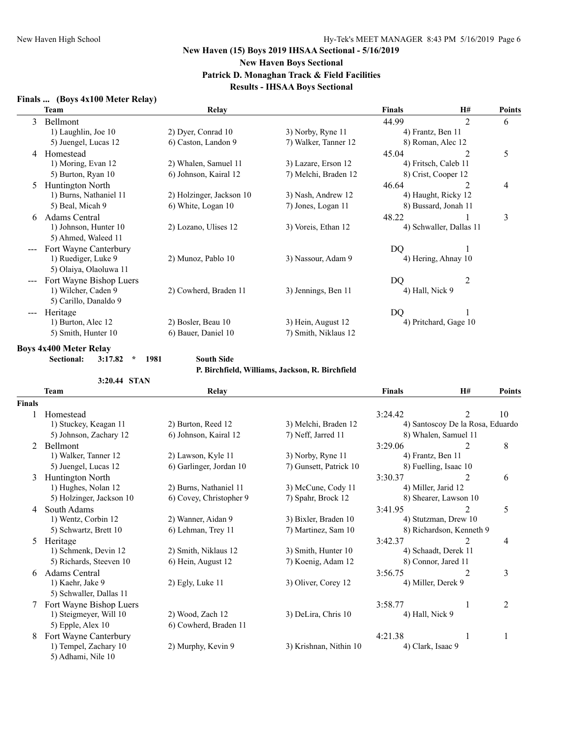# **New Haven (15) Boys 2019 IHSAA Sectional - 5/16/2019 New Haven Boys Sectional Patrick D. Monaghan Track & Field Facilities**

# **Results - IHSAA Boys Sectional**

# **Finals ... (Boys 4x100 Meter Relay)**

|                   | <b>Team</b>             | Relay                    |                      | <b>Finals</b>     | <b>H#</b>               | <b>Points</b> |
|-------------------|-------------------------|--------------------------|----------------------|-------------------|-------------------------|---------------|
| 3                 | Bellmont                |                          |                      | 44.99             | $\overline{2}$          | 6             |
|                   | 1) Laughlin, Joe 10     | 2) Dyer, Conrad 10       | 3) Norby, Ryne 11    | 4) Frantz, Ben 11 |                         |               |
|                   | 5) Juengel, Lucas 12    | 6) Caston, Landon 9      | 7) Walker, Tanner 12 |                   | 8) Roman, Alec 12       |               |
| 4                 | Homestead               |                          |                      | 45.04             | 2                       | 5             |
|                   | 1) Moring, Evan 12      | 2) Whalen, Samuel 11     | 3) Lazare, Erson 12  |                   | 4) Fritsch, Caleb 11    |               |
|                   | 5) Burton, Ryan 10      | 6) Johnson, Kairal 12    | 7) Melchi, Braden 12 |                   | 8) Crist, Cooper 12     |               |
| 5                 | <b>Huntington North</b> |                          |                      | 46.64             | 2                       | 4             |
|                   | 1) Burns, Nathaniel 11  | 2) Holzinger, Jackson 10 | 3) Nash, Andrew 12   |                   | 4) Haught, Ricky 12     |               |
|                   | 5) Beal, Micah 9        | 6) White, Logan 10       | 7) Jones, Logan 11   |                   | 8) Bussard, Jonah 11    |               |
| 6                 | Adams Central           |                          |                      | 48.22             |                         | 3             |
|                   | 1) Johnson, Hunter 10   | 2) Lozano, Ulises 12     | 3) Voreis, Ethan 12  |                   | 4) Schwaller, Dallas 11 |               |
|                   | 5) Ahmed, Waleed 11     |                          |                      |                   |                         |               |
|                   | Fort Wayne Canterbury   |                          |                      | DQ                |                         |               |
|                   | 1) Ruediger, Luke 9     | 2) Munoz, Pablo 10       | 3) Nassour, Adam 9   |                   | 4) Hering, Ahnay 10     |               |
|                   | 5) Olaiya, Olaoluwa 11  |                          |                      |                   |                         |               |
|                   | Fort Wayne Bishop Luers |                          |                      | DQ                | $\overline{2}$          |               |
|                   | 1) Wilcher, Caden 9     | 2) Cowherd, Braden 11    | 3) Jennings, Ben 11  | 4) Hall, Nick 9   |                         |               |
|                   | 5) Carillo, Danaldo 9   |                          |                      |                   |                         |               |
| $\qquad \qquad -$ | Heritage                |                          |                      | D <sub>O</sub>    |                         |               |
|                   | 1) Burton, Alec 12      | 2) Bosler, Beau 10       | 3) Hein, August 12   |                   | 4) Pritchard, Gage 10   |               |
|                   | 5) Smith, Hunter 10     | 6) Bauer, Daniel 10      | 7) Smith, Niklaus 12 |                   |                         |               |

### **Boys 4x400 Meter Relay**

**Sectional: 3:17.82 \* 1981 South Side**

#### **P. Birchfield, Williams, Jackson, R. Birchfield**

|               | 3:20.44 STAN             |                         |                        |                     |                                  |                |
|---------------|--------------------------|-------------------------|------------------------|---------------------|----------------------------------|----------------|
|               | Team                     | Relay                   |                        | <b>Finals</b>       | H#                               | <b>Points</b>  |
| <b>Finals</b> |                          |                         |                        |                     |                                  |                |
|               | Homestead                |                         |                        | 3:24.42             | 2                                | 10             |
|               | 1) Stuckey, Keagan 11    | 2) Burton, Reed 12      | 3) Melchi, Braden 12   |                     | 4) Santoscoy De la Rosa, Eduardo |                |
|               | 5) Johnson, Zachary 12   | 6) Johnson, Kairal 12   | 7) Neff, Jarred 11     |                     | 8) Whalen, Samuel 11             |                |
| 2             | <b>Bellmont</b>          |                         |                        | 3:29.06             | 2                                | 8              |
|               | 1) Walker, Tanner 12     | 2) Lawson, Kyle 11      | 3) Norby, Ryne 11      | 4) Frantz, Ben 11   |                                  |                |
|               | 5) Juengel, Lucas 12     | 6) Garlinger, Jordan 10 | 7) Gunsett, Patrick 10 |                     | 8) Fuelling, Isaac 10            |                |
| 3             | Huntington North         |                         |                        | 3:30.37             | 2                                | 6              |
|               | 1) Hughes, Nolan 12      | 2) Burns, Nathaniel 11  | 3) McCune, Cody 11     | 4) Miller, Jarid 12 |                                  |                |
|               | 5) Holzinger, Jackson 10 | 6) Covey, Christopher 9 | 7) Spahr, Brock 12     |                     | 8) Shearer, Lawson 10            |                |
| 4             | South Adams              |                         |                        | 3:41.95             |                                  | 5              |
|               | 1) Wentz, Corbin 12      | 2) Wanner, Aidan 9      | 3) Bixler, Braden 10   |                     | 4) Stutzman, Drew 10             |                |
|               | 5) Schwartz, Brett 10    | 6) Lehman, Trey 11      | 7) Martinez, Sam 10    |                     | 8) Richardson, Kenneth 9         |                |
| 5             | Heritage                 |                         |                        | 3:42.37             | 2                                | 4              |
|               | 1) Schmenk, Devin 12     | 2) Smith, Niklaus 12    | 3) Smith, Hunter 10    |                     | 4) Schaadt, Derek 11             |                |
|               | 5) Richards, Steeven 10  | 6) Hein, August 12      | 7) Koenig, Adam 12     |                     | 8) Connor, Jared 11              |                |
| 6             | Adams Central            |                         |                        | 3:56.75             | 2                                | 3              |
|               | 1) Kaehr, Jake 9         | 2) Egly, Luke 11        | 3) Oliver, Corey 12    | 4) Miller, Derek 9  |                                  |                |
|               | 5) Schwaller, Dallas 11  |                         |                        |                     |                                  |                |
|               | Fort Wayne Bishop Luers  |                         |                        | 3:58.77             |                                  | $\overline{2}$ |
|               | 1) Steigmeyer, Will 10   | 2) Wood, Zach 12        | 3) DeLira, Chris 10    | 4) Hall, Nick 9     |                                  |                |
|               | 5) Epple, Alex 10        | 6) Cowherd, Braden 11   |                        |                     |                                  |                |
| 8             | Fort Wayne Canterbury    |                         |                        | 4:21.38             |                                  |                |
|               | 1) Tempel, Zachary 10    | 2) Murphy, Kevin 9      | 3) Krishnan, Nithin 10 | 4) Clark, Isaac 9   |                                  |                |
|               | 5) Adhami, Nile 10       |                         |                        |                     |                                  |                |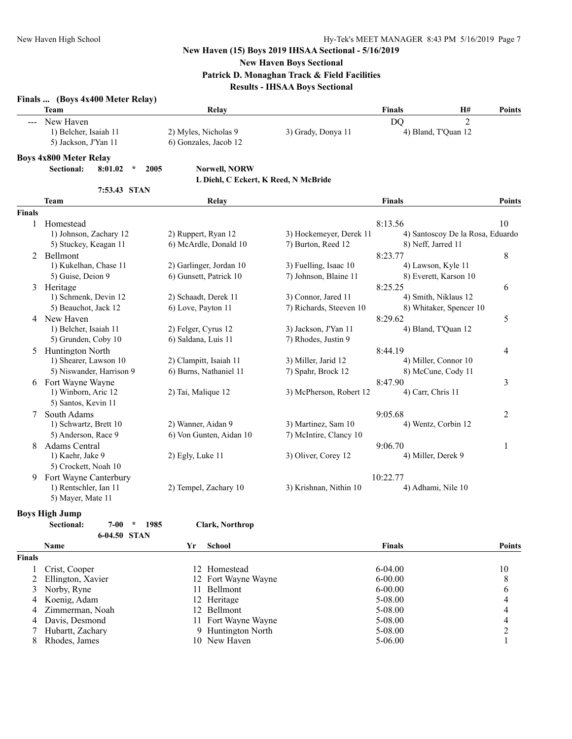**New Haven Boys Sectional**

**Patrick D. Monaghan Track & Field Facilities**

**Results - IHSAA Boys Sectional**

| <b>Team</b>                                                                                                                                                                                                                                                                                                                                                                                                                                                                             | Relav                 |                    | <b>Finals</b> | H#                  | Points |
|-----------------------------------------------------------------------------------------------------------------------------------------------------------------------------------------------------------------------------------------------------------------------------------------------------------------------------------------------------------------------------------------------------------------------------------------------------------------------------------------|-----------------------|--------------------|---------------|---------------------|--------|
| New Haven<br>$\frac{1}{2} \left( \frac{1}{2} \right) \left( \frac{1}{2} \right) \left( \frac{1}{2} \right) \left( \frac{1}{2} \right) \left( \frac{1}{2} \right) \left( \frac{1}{2} \right) \left( \frac{1}{2} \right) \left( \frac{1}{2} \right) \left( \frac{1}{2} \right) \left( \frac{1}{2} \right) \left( \frac{1}{2} \right) \left( \frac{1}{2} \right) \left( \frac{1}{2} \right) \left( \frac{1}{2} \right) \left( \frac{1}{2} \right) \left( \frac{1}{2} \right) \left( \frac$ |                       |                    | DΟ            |                     |        |
| 1) Belcher, Isaiah 11                                                                                                                                                                                                                                                                                                                                                                                                                                                                   | 2) Myles, Nicholas 9  | 3) Grady, Donya 11 |               | 4) Bland, T'Ouan 12 |        |
| 5) Jackson, J'Yan 11                                                                                                                                                                                                                                                                                                                                                                                                                                                                    | 6) Gonzales, Jacob 12 |                    |               |                     |        |
| <b>Dove 4v200 Motor Dolor</b>                                                                                                                                                                                                                                                                                                                                                                                                                                                           |                       |                    |               |                     |        |

**Boys 4x800 Meter Relay**

**Sectional: 8:01.02 \* 2005 Norwell, NORW**

### **L Diehl, C Eckert, K Reed, N McBride**

**7:53.43 STAN**

|               | <b>Team</b>              | Relay                   |                         | <b>Finals</b>                    | <b>Points</b>  |
|---------------|--------------------------|-------------------------|-------------------------|----------------------------------|----------------|
| <b>Finals</b> |                          |                         |                         |                                  |                |
|               | Homestead                |                         |                         | 8:13.56                          | 10             |
|               | 1) Johnson, Zachary 12   | 2) Ruppert, Ryan 12     | 3) Hockemeyer, Derek 11 | 4) Santoscoy De la Rosa, Eduardo |                |
|               | 5) Stuckey, Keagan 11    | 6) McArdle, Donald 10   | 7) Burton, Reed 12      | 8) Neff, Jarred 11               |                |
| 2             | <b>Bellmont</b>          |                         |                         | 8:23.77                          | $\,8\,$        |
|               | 1) Kukelhan, Chase 11    | 2) Garlinger, Jordan 10 | 3) Fuelling, Isaac 10   | 4) Lawson, Kyle 11               |                |
|               | 5) Guise, Deion 9        | 6) Gunsett, Patrick 10  | 7) Johnson, Blaine 11   | 8) Everett, Karson 10            |                |
| 3             | Heritage                 |                         |                         | 8:25.25                          | 6              |
|               | 1) Schmenk, Devin 12     | 2) Schaadt, Derek 11    | 3) Connor, Jared 11     | 4) Smith, Niklaus 12             |                |
|               | 5) Beauchot, Jack 12     | 6) Love, Payton 11      | 7) Richards, Steeven 10 | 8) Whitaker, Spencer 10          |                |
| 4             | New Haven                |                         |                         | 8:29.62                          | 5              |
|               | 1) Belcher, Isaiah 11    | 2) Felger, Cyrus 12     | 3) Jackson, J'Yan 11    | 4) Bland, T'Quan 12              |                |
|               | 5) Grunden, Coby 10      | 6) Saldana, Luis 11     | 7) Rhodes, Justin 9     |                                  |                |
| 5             | Huntington North         |                         |                         | 8:44.19                          | $\overline{4}$ |
|               | 1) Shearer, Lawson 10    | 2) Clampitt, Isaiah 11  | 3) Miller, Jarid 12     | 4) Miller, Connor 10             |                |
|               | 5) Niswander, Harrison 9 | 6) Burns, Nathaniel 11  | 7) Spahr, Brock 12      | 8) McCune, Cody 11               |                |
| 6             | Fort Wayne Wayne         |                         |                         | 8:47.90                          | 3              |
|               | 1) Winborn, Aric 12      | 2) Tai, Malique 12      | 3) McPherson, Robert 12 | 4) Carr, Chris 11                |                |
|               | 5) Santos, Kevin 11      |                         |                         |                                  |                |
| 7             | South Adams              |                         |                         | 9:05.68                          | $\overline{2}$ |
|               | 1) Schwartz, Brett 10    | 2) Wanner, Aidan 9      | 3) Martinez, Sam 10     | 4) Wentz, Corbin 12              |                |
|               | 5) Anderson, Race 9      | 6) Von Gunten, Aidan 10 | 7) McIntire, Clancy 10  |                                  |                |
| 8             | <b>Adams Central</b>     |                         |                         | 9:06.70                          | 1              |
|               | 1) Kaehr, Jake 9         | 2) Egly, Luke 11        | 3) Oliver, Corey 12     | 4) Miller, Derek 9               |                |
|               | 5) Crockett, Noah 10     |                         |                         |                                  |                |
| 9             | Fort Wayne Canterbury    |                         |                         | 10:22.77                         |                |
|               | 1) Rentschler, Ian 11    | 2) Tempel, Zachary 10   | 3) Krishnan, Nithin 10  | 4) Adhami, Nile 10               |                |
|               | 5) Mayer, Mate 11        |                         |                         |                                  |                |

### **Boys High Jump**

|               | 1985<br>Sectional:<br>7-00<br>÷ | Clark, Northrop         |               |               |
|---------------|---------------------------------|-------------------------|---------------|---------------|
|               | 6-04.50 STAN                    |                         |               |               |
|               | Name                            | Yr<br>School            | <b>Finals</b> | <b>Points</b> |
| <b>Finals</b> |                                 |                         |               |               |
|               | Crist, Cooper                   | 12 Homestead            | $6-04.00$     | 10            |
|               | 2 Ellington, Xavier             | 12 Fort Wayne Wayne     | $6 - 00.00$   | 8             |
|               | 3 Norby, Ryne                   | <b>Bellmont</b><br>11 - | $6 - 00.00$   | 6             |
|               | 4 Koenig, Adam                  | 12 Heritage             | 5-08.00       | 4             |
| 4             | Zimmerman, Noah                 | 12 Bellmont             | 5-08.00       | 4             |
| 4             | Davis, Desmond                  | 11 Fort Wayne Wayne     | 5-08.00       | 4             |
|               | Hubartt, Zachary                | 9 Huntington North      | 5-08.00       | ↑             |
|               | Rhodes, James                   | New Haven<br>10         | $5 - 06.00$   |               |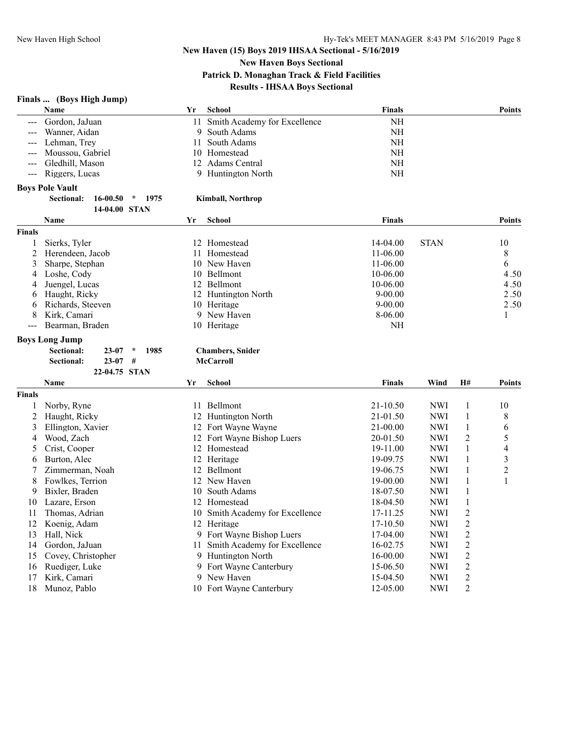**New Haven Boys Sectional**

**Patrick D. Monaghan Track & Field Facilities**

# **Results - IHSAA Boys Sectional**

# **Finals ... (Boys High Jump)**

|                | Name                                              | Yr | <b>School</b>                   | <b>Finals</b>        |             |                | <b>Points</b>  |
|----------------|---------------------------------------------------|----|---------------------------------|----------------------|-------------|----------------|----------------|
|                | Gordon, JaJuan                                    |    | 11 Smith Academy for Excellence | <b>NH</b>            |             |                |                |
|                | Wanner, Aidan                                     | 9  | South Adams                     | <b>NH</b>            |             |                |                |
|                | Lehman, Trey                                      | 11 | South Adams                     | NH                   |             |                |                |
|                | Moussou, Gabriel                                  |    | 10 Homestead                    | <b>NH</b>            |             |                |                |
|                | Gledhill, Mason                                   |    | 12 Adams Central                | <b>NH</b>            |             |                |                |
| $---$          | Riggers, Lucas                                    |    | 9 Huntington North              | <b>NH</b>            |             |                |                |
|                | <b>Boys Pole Vault</b>                            |    |                                 |                      |             |                |                |
|                | <b>Sectional:</b><br>16-00.50<br>$\star$<br>1975  |    | <b>Kimball, Northrop</b>        |                      |             |                |                |
|                | 14-04.00 STAN                                     |    |                                 |                      |             |                |                |
|                | Name                                              | Yr | <b>School</b>                   | <b>Finals</b>        |             |                | Points         |
| <b>Finals</b>  |                                                   |    |                                 |                      |             |                |                |
| 1              | Sierks, Tyler                                     |    | 12 Homestead                    | 14-04.00             | <b>STAN</b> |                | 10             |
| 2              | Herendeen, Jacob                                  |    | 11 Homestead                    | 11-06.00             |             |                | 8              |
| 3              | Sharpe, Stephan                                   |    | 10 New Haven                    | 11-06.00             |             |                | 6              |
| 4              | Loshe, Cody                                       |    | 10 Bellmont                     | 10-06.00             |             |                | 4.50           |
| 4              | Juengel, Lucas                                    |    | 12 Bellmont                     | 10-06.00             |             |                | 4.50           |
| 6              | Haught, Ricky                                     |    | 12 Huntington North             | $9 - 00.00$          |             |                | 2.50           |
| 6              | Richards, Steeven                                 |    | 10 Heritage                     | $9 - 00.00$          |             |                | 2.50           |
| 8              | Kirk, Camari                                      |    | 9 New Haven                     | 8-06.00              |             |                | 1              |
| $---$          | Bearman, Braden                                   |    | 10 Heritage                     | NH                   |             |                |                |
|                | <b>Boys Long Jump</b>                             |    |                                 |                      |             |                |                |
|                | <b>Sectional:</b><br>$23 - 07$<br>$\star$<br>1985 |    | <b>Chambers, Snider</b>         |                      |             |                |                |
|                | $23 - 07$<br>Sectional:<br>#                      |    | <b>McCarroll</b>                |                      |             |                |                |
|                | 22-04.75 STAN                                     |    |                                 |                      |             |                |                |
|                | Name                                              | Yr | <b>School</b>                   | <b>Finals</b>        | Wind        | <b>H#</b>      | <b>Points</b>  |
| <b>Finals</b>  |                                                   |    |                                 |                      |             |                |                |
| 1              | Norby, Ryne                                       |    | 11 Bellmont                     | 21-10.50             | <b>NWI</b>  | $\mathbf{1}$   | 10             |
| $\overline{2}$ | Haught, Ricky                                     |    | 12 Huntington North             | 21-01.50             | <b>NWI</b>  | $\mathbf{1}$   | 8              |
| 3              | Ellington, Xavier                                 |    | 12 Fort Wayne Wayne             | 21-00.00             | <b>NWI</b>  | 1              | 6              |
| 4              | Wood, Zach                                        |    | 12 Fort Wayne Bishop Luers      | 20-01.50             | <b>NWI</b>  | $\overline{2}$ | 5              |
| 5              | Crist, Cooper                                     |    | 12 Homestead                    | 19-11.00             | <b>NWI</b>  | $\mathbf{1}$   | 4              |
| 6              | Burton, Alec                                      |    | 12 Heritage                     | 19-09.75             | <b>NWI</b>  | 1              | 3              |
| 7              | Zimmerman, Noah                                   |    | 12 Bellmont                     | 19-06.75             | <b>NWI</b>  | $\mathbf{1}$   | $\overline{c}$ |
| 8              | Fowlkes, Terrion                                  |    | 12 New Haven                    | 19-00.00             | <b>NWI</b>  | $\mathbf{1}$   | 1              |
| 9              | Bixler, Braden                                    |    | 10 South Adams                  | 18-07.50             | <b>NWI</b>  | $\mathbf{1}$   |                |
| 10             | Lazare, Erson                                     |    | 12 Homestead                    | 18-04.50             | <b>NWI</b>  | $\mathbf{1}$   |                |
| 11             | Thomas, Adrian                                    |    | 10 Smith Academy for Excellence | 17-11.25             | <b>NWI</b>  | $\overline{c}$ |                |
| 12             | Koenig, Adam                                      |    | 12 Heritage                     | 17-10.50             | <b>NWI</b>  | $\overline{2}$ |                |
| 13             | Hall, Nick                                        |    | 9 Fort Wayne Bishop Luers       | 17-04.00             | <b>NWI</b>  | $\overline{c}$ |                |
| 14             | Gordon, JaJuan                                    |    | 11 Smith Academy for Excellence | 16-02.75             | <b>NWI</b>  | $\overline{2}$ |                |
| 15             | Covey, Christopher                                |    | 9 Huntington North              |                      | <b>NWI</b>  | $\overline{2}$ |                |
| 16             |                                                   |    |                                 | 16-00.00<br>15-06.50 |             | $\overline{c}$ |                |
|                | Ruediger, Luke                                    |    | 9 Fort Wayne Canterbury         |                      | <b>NWI</b>  | $\overline{2}$ |                |
| 17             | Kirk, Camari                                      |    | 9 New Haven                     | 15-04.50             | <b>NWI</b>  |                |                |
| 18             | Munoz, Pablo                                      |    | 10 Fort Wayne Canterbury        | 12-05.00             | <b>NWI</b>  | $\overline{c}$ |                |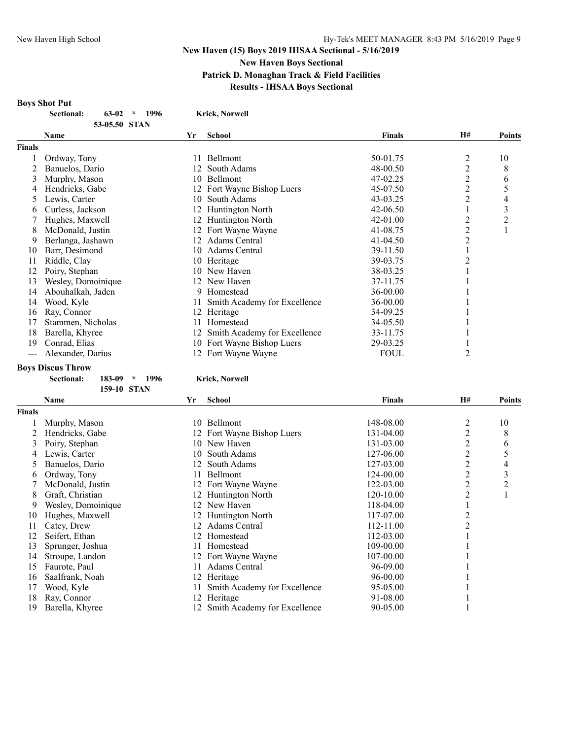# **New Haven (15) Boys 2019 IHSAA Sectional - 5/16/2019 New Haven Boys Sectional Patrick D. Monaghan Track & Field Facilities Results - IHSAA Boys Sectional**

### **Boys Shot Put**

| Sectional: | 63-02 | $*$ 1996 | <b>Krick, Norwell</b> |
|------------|-------|----------|-----------------------|
|            |       |          |                       |

|               | 53-05.50 STAN      |    |                              |               |           |               |
|---------------|--------------------|----|------------------------------|---------------|-----------|---------------|
|               | Name               | Yr | School                       | <b>Finals</b> | <b>H#</b> | <b>Points</b> |
| <b>Finals</b> |                    |    |                              |               |           |               |
|               | Ordway, Tony       |    | Bellmont                     | 50-01.75      | 2         | 10            |
|               | Banuelos, Dario    | 12 | South Adams                  | 48-00.50      | 2         | 8             |
| 3             | Murphy, Mason      | 10 | <b>Bellmont</b>              | 47-02.25      | 2         | 6             |
| 4             | Hendricks, Gabe    |    | 12 Fort Wayne Bishop Luers   | 45-07.50      | 2         | 5             |
| 5.            | Lewis, Carter      | 10 | South Adams                  | 43-03.25      | 2         | 4             |
| <sub>0</sub>  | Curless, Jackson   |    | <b>Huntington North</b>      | 42-06.50      |           | 3             |
|               | Hughes, Maxwell    |    | 12 Huntington North          | 42-01.00      | 2         | 2             |
| 8             | McDonald, Justin   |    | 12 Fort Wayne Wayne          | 41-08.75      | 2         |               |
| 9             | Berlanga, Jashawn  | 12 | Adams Central                | 41-04.50      | 2         |               |
| 10            | Barr, Desimond     |    | 10 Adams Central             | 39-11.50      |           |               |
| 11            | Riddle, Clay       | 10 | Heritage                     | 39-03.75      | 2         |               |
| 12            | Poiry, Stephan     |    | 10 New Haven                 | 38-03.25      |           |               |
| 13            | Wesley, Domoinique | 12 | New Haven                    | 37-11.75      |           |               |
| 14            | Abouhalkah, Jaden  | 9  | Homestead                    | 36-00.00      |           |               |
| 14            | Wood, Kyle         | 11 | Smith Academy for Excellence | 36-00.00      |           |               |
| 16            | Ray, Connor        | 12 | Heritage                     | 34-09.25      |           |               |
| 17            | Stammen, Nicholas  |    | Homestead                    | 34-05.50      |           |               |
| 18            | Barella, Khyree    | 12 | Smith Academy for Excellence | 33-11.75      |           |               |
| 19            | Conrad, Elias      | 10 | Fort Wayne Bishop Luers      | 29-03.25      |           |               |
| ---           | Alexander, Darius  |    | 12 Fort Wayne Wayne          | <b>FOUL</b>   | 2         |               |

#### **Boys Discus Throw**

**Sectional: 183-09 \* 1996 Krick, Norwell 159-10 STAN**

|               | <b>Name</b>        | Yr  | <b>School</b>                | <b>Finals</b> | H# | Points         |
|---------------|--------------------|-----|------------------------------|---------------|----|----------------|
| <b>Finals</b> |                    |     |                              |               |    |                |
|               | Murphy, Mason      | 10  | Bellmont                     | 148-08.00     | 2  | 10             |
|               | Hendricks, Gabe    |     | 12 Fort Wayne Bishop Luers   | 131-04.00     | 2  | 8              |
| 3             | Poiry, Stephan     | 10  | New Haven                    | 131-03.00     | 2  | 6              |
| 4             | Lewis, Carter      | 10  | South Adams                  | 127-06.00     | 2  | 5              |
| $\mathcal{D}$ | Banuelos, Dario    | 12  | South Adams                  | 127-03.00     | 2  | 4              |
| 6             | Ordway, Tony       |     | <b>Bellmont</b>              | 124-00.00     | 2  | 3              |
|               | McDonald, Justin   |     | 12 Fort Wayne Wayne          | 122-03.00     | 2  | $\overline{c}$ |
| 8             | Graft, Christian   | 12  | Huntington North             | 120-10.00     | 2  |                |
| 9             | Wesley, Domoinique | 12  | New Haven                    | 118-04.00     |    |                |
| 10            | Hughes, Maxwell    | 12  | Huntington North             | $117 - 07.00$ |    |                |
| 11            | Catey, Drew        | 12  | Adams Central                | $112 - 11.00$ | 2  |                |
| 12            | Seifert, Ethan     | 12. | Homestead                    | 112-03.00     |    |                |
| 13            | Sprunger, Joshua   |     | Homestead                    | 109-00.00     |    |                |
| 14            | Stroupe, Landon    | 12  | Fort Wayne Wayne             | 107-00.00     |    |                |
| 15            | Faurote, Paul      |     | Adams Central                | 96-09.00      |    |                |
| 16            | Saalfrank, Noah    | 12  | Heritage                     | $96 - 00.00$  |    |                |
| 17            | Wood, Kyle         |     | Smith Academy for Excellence | 95-05.00      |    |                |
| 18            | Ray, Connor        | 12  | Heritage                     | 91-08.00      |    |                |
| 19            | Barella, Khyree    |     | Smith Academy for Excellence | 90-05.00      |    |                |